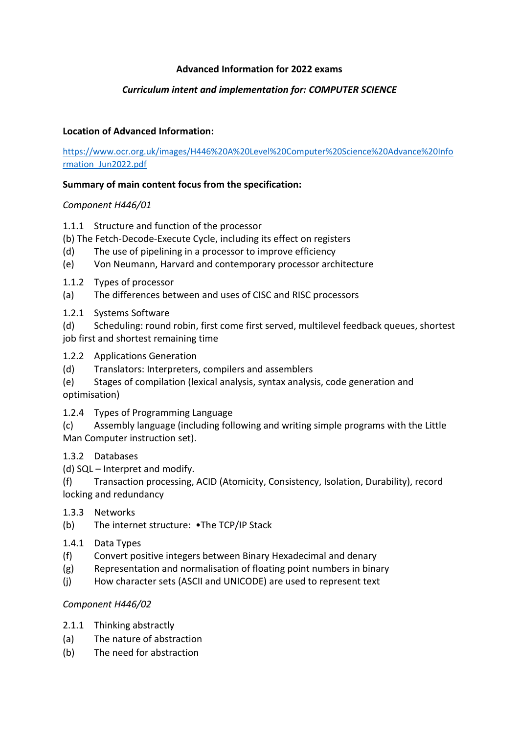## **Advanced Information for 2022 exams**

# *Curriculum intent and implementation for: COMPUTER SCIENCE*

# **Location of Advanced Information:**

[https://www.ocr.org.uk/images/H446%20A%20Level%20Computer%20Science%20Advance%20Info](https://www.ocr.org.uk/images/H446%20A%20Level%20Computer%20Science%20Advance%20Information_Jun2022.pdf) [rmation\\_Jun2022.pdf](https://www.ocr.org.uk/images/H446%20A%20Level%20Computer%20Science%20Advance%20Information_Jun2022.pdf)

#### **Summary of main content focus from the specification:**

## *Component H446/01*

- 1.1.1 Structure and function of the processor
- (b) The Fetch-Decode-Execute Cycle, including its effect on registers
- (d) The use of pipelining in a processor to improve efficiency
- (e) Von Neumann, Harvard and contemporary processor architecture
- 1.1.2 Types of processor
- (a) The differences between and uses of CISC and RISC processors
- 1.2.1 Systems Software
- (d) Scheduling: round robin, first come first served, multilevel feedback queues, shortest job first and shortest remaining time
- 1.2.2 Applications Generation
- (d) Translators: Interpreters, compilers and assemblers
- (e) Stages of compilation (lexical analysis, syntax analysis, code generation and

optimisation)

1.2.4 Types of Programming Language

(c) Assembly language (including following and writing simple programs with the Little Man Computer instruction set).

1.3.2 Databases

(d) SQL – Interpret and modify.

(f) Transaction processing, ACID (Atomicity, Consistency, Isolation, Durability), record locking and redundancy

- 1.3.3 Networks
- (b) The internet structure: •The TCP/IP Stack
- 1.4.1 Data Types
- (f) Convert positive integers between Binary Hexadecimal and denary
- (g) Representation and normalisation of floating point numbers in binary
- (j) How character sets (ASCII and UNICODE) are used to represent text

## *Component H446/02*

- 2.1.1 Thinking abstractly
- (a) The nature of abstraction
- (b) The need for abstraction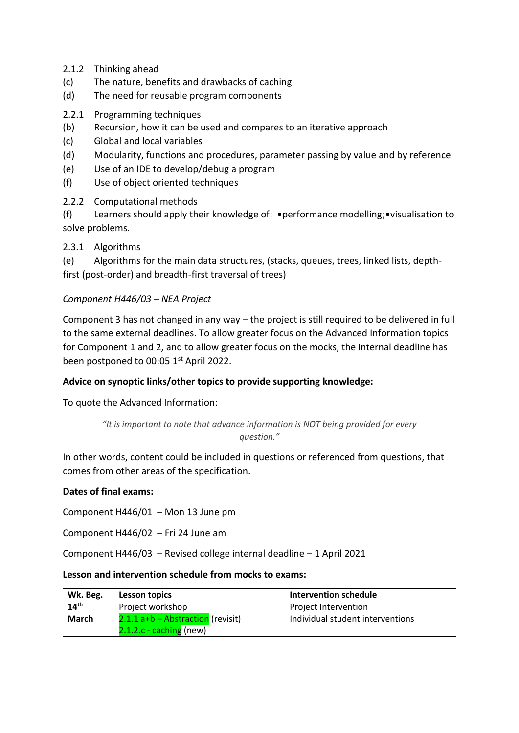- 2.1.2 Thinking ahead
- (c) The nature, benefits and drawbacks of caching
- (d) The need for reusable program components
- 2.2.1 Programming techniques
- (b) Recursion, how it can be used and compares to an iterative approach
- (c) Global and local variables
- (d) Modularity, functions and procedures, parameter passing by value and by reference
- (e) Use of an IDE to develop/debug a program
- (f) Use of object oriented techniques
- 2.2.2 Computational methods

(f) Learners should apply their knowledge of: •performance modelling;•visualisation to solve problems.

# 2.3.1 Algorithms

(e) Algorithms for the main data structures, (stacks, queues, trees, linked lists, depthfirst (post-order) and breadth-first traversal of trees)

## *Component H446/03 – NEA Project*

Component 3 has not changed in any way – the project is still required to be delivered in full to the same external deadlines. To allow greater focus on the Advanced Information topics for Component 1 and 2, and to allow greater focus on the mocks, the internal deadline has been postponed to 00:05 1<sup>st</sup> April 2022.

## **Advice on synoptic links/other topics to provide supporting knowledge:**

To quote the Advanced Information:

```
"It is important to note that advance information is NOT being provided for every 
                       question."
```
In other words, content could be included in questions or referenced from questions, that comes from other areas of the specification.

## **Dates of final exams:**

Component H446/01 – Mon 13 June pm

Component H446/02 – Fri 24 June am

Component H446/03 – Revised college internal deadline – 1 April 2021

#### **Lesson and intervention schedule from mocks to exams:**

| Wk. Beg.         | Lesson topics                     | Intervention schedule            |
|------------------|-----------------------------------|----------------------------------|
| 14 <sup>th</sup> | Project workshop                  | Project Intervention             |
| <b>March</b>     | 2.1.1 a+b – Abstraction (revisit) | Individual student interventions |
|                  | $2.1.2.c$ - caching (new)         |                                  |